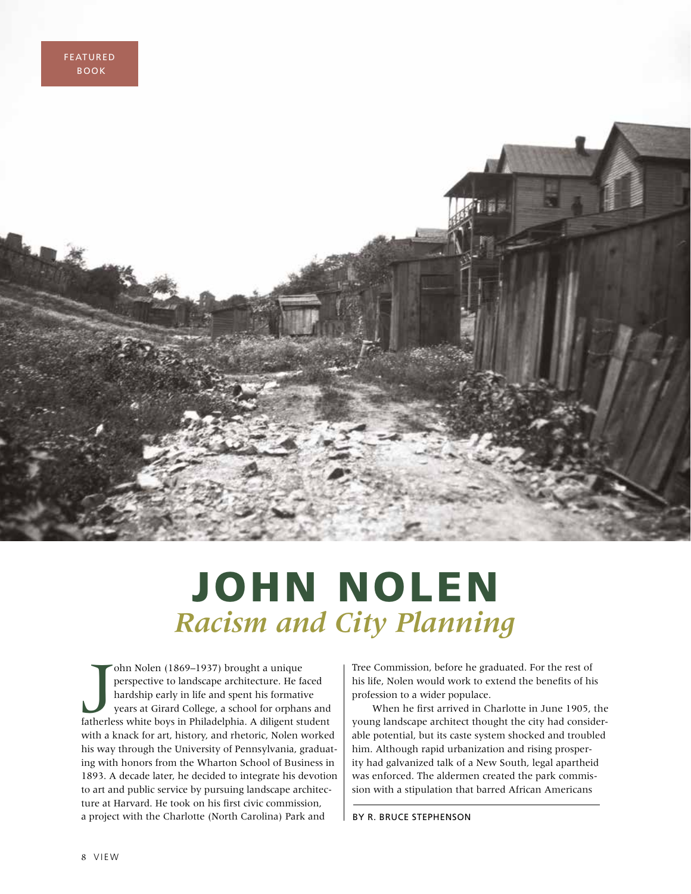

## JOHN NOLEN *Racism and City Planning*

ohn Nolen (1869–1937) brought a unique<br>perspective to landscape architecture. He faced<br>hardship early in life and spent his formative<br>years at Girard College, a school for orphans and<br>fatherless white boys in Philadelphia. ohn Nolen (1869–1937) brought a unique perspective to landscape architecture. He faced hardship early in life and spent his formative years at Girard College, a school for orphans and with a knack for art, history, and rhetoric, Nolen worked his way through the University of Pennsylvania, graduating with honors from the Wharton School of Business in 1893. A decade later, he decided to integrate his devotion to art and public service by pursuing landscape architecture at Harvard. He took on his first civic commission, a project with the Charlotte (North Carolina) Park and

Tree Commission, before he graduated. For the rest of his life, Nolen would work to extend the benefits of his profession to a wider populace.

When he first arrived in Charlotte in June 1905, the young landscape architect thought the city had considerable potential, but its caste system shocked and troubled him. Although rapid urbanization and rising prosperity had galvanized talk of a New South, legal apartheid was enforced. The aldermen created the park commission with a stipulation that barred African Americans

BY R. BRUCE STEPHENSON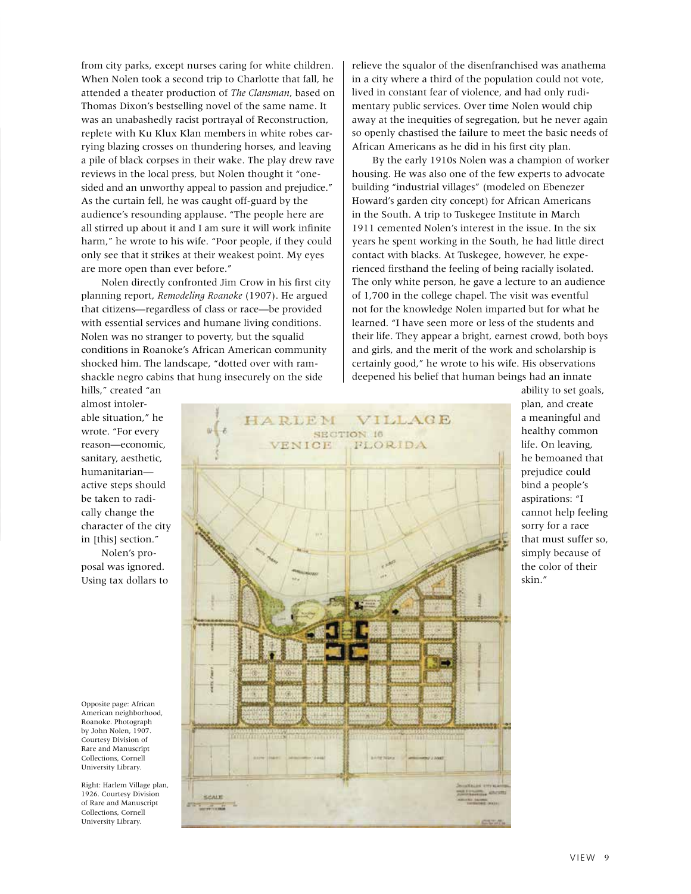from city parks, except nurses caring for white children. When Nolen took a second trip to Charlotte that fall, he attended a theater production of *The Clansman*, based on Thomas Dixon's bestselling novel of the same name. It was an unabashedly racist portrayal of Reconstruction, replete with Ku Klux Klan members in white robes carrying blazing crosses on thundering horses, and leaving a pile of black corpses in their wake. The play drew rave reviews in the local press, but Nolen thought it "onesided and an unworthy appeal to passion and prejudice." As the curtain fell, he was caught off-guard by the audience's resounding applause. "The people here are all stirred up about it and I am sure it will work infinite harm," he wrote to his wife. "Poor people, if they could only see that it strikes at their weakest point. My eyes are more open than ever before."

Nolen directly confronted Jim Crow in his first city planning report, *Remodeling Roanoke* (1907). He argued that citizens—regardless of class or race—be provided with essential services and humane living conditions. Nolen was no stranger to poverty, but the squalid conditions in Roanoke's African American community shocked him. The landscape, "dotted over with ramshackle negro cabins that hung insecurely on the side

relieve the squalor of the disenfranchised was anathema in a city where a third of the population could not vote, lived in constant fear of violence, and had only rudimentary public services. Over time Nolen would chip away at the inequities of segregation, but he never again so openly chastised the failure to meet the basic needs of African Americans as he did in his first city plan.

By the early 1910s Nolen was a champion of worker housing. He was also one of the few experts to advocate building "industrial villages" (modeled on Ebenezer Howard's garden city concept) for African Americans in the South. A trip to Tuskegee Institute in March 1911 cemented Nolen's interest in the issue. In the six years he spent working in the South, he had little direct contact with blacks. At Tuskegee, however, he experienced firsthand the feeling of being racially isolated. The only white person, he gave a lecture to an audience of 1,700 in the college chapel. The visit was eventful not for the knowledge Nolen imparted but for what he learned. "I have seen more or less of the students and their life. They appear a bright, earnest crowd, both boys and girls, and the merit of the work and scholarship is certainly good," he wrote to his wife. His observations deepened his belief that human beings had an innate

hills," created "an almost intolerable situation," he wrote. "For every reason—economic, sanitary, aesthetic, humanitarian active steps should be taken to radically change the character of the city in [this] section." Nolen's pro-

posal was ignored. Using tax dollars to

Opposite page: African American neighborhood, Roanoke. Photograph by John Nolen, 1907. Courtesy Division of Rare and Manuscript Collections, Cornell University Library.

Right: Harlem Village plan, 1926. Courtesy Division of Rare and Manuscript Collections, Cornell University Library.



ability to set goals, plan, and create a meaningful and healthy common life. On leaving, he bemoaned that prejudice could bind a people's aspirations: "I cannot help feeling sorry for a race that must suffer so, simply because of the color of their skin."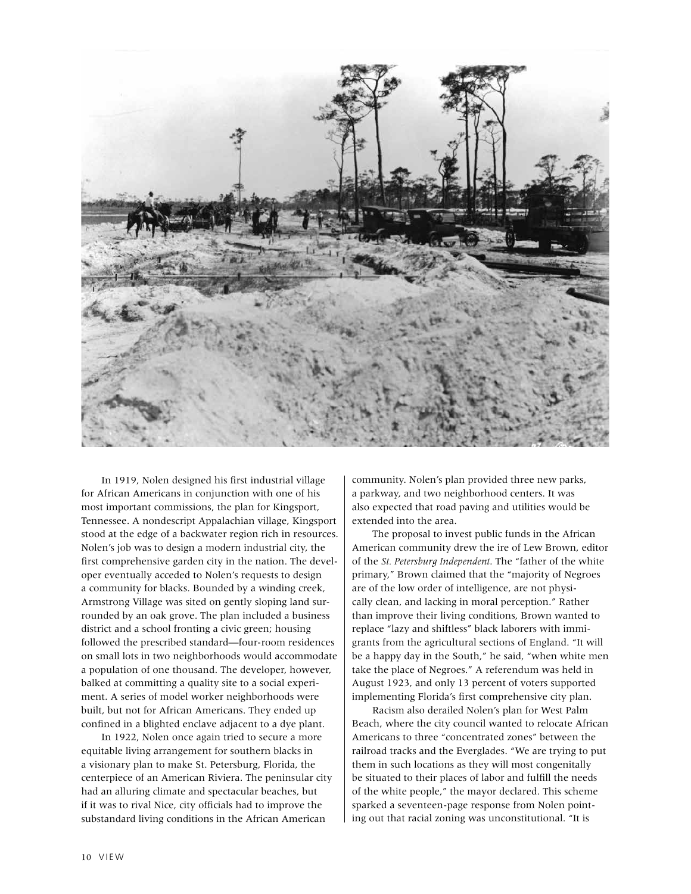

In 1919, Nolen designed his first industrial village for African Americans in conjunction with one of his most important commissions, the plan for Kingsport, Tennessee. A nondescript Appalachian village, Kingsport stood at the edge of a backwater region rich in resources. Nolen's job was to design a modern industrial city, the first comprehensive garden city in the nation. The developer eventually acceded to Nolen's requests to design a community for blacks. Bounded by a winding creek, Armstrong Village was sited on gently sloping land surrounded by an oak grove. The plan included a business district and a school fronting a civic green; housing followed the prescribed standard—four-room residences on small lots in two neighborhoods would accommodate a population of one thousand. The developer, however, balked at committing a quality site to a social experiment. A series of model worker neighborhoods were built, but not for African Americans. They ended up confined in a blighted enclave adjacent to a dye plant.

In 1922, Nolen once again tried to secure a more equitable living arrangement for southern blacks in a visionary plan to make St. Petersburg, Florida, the centerpiece of an American Riviera. The peninsular city had an alluring climate and spectacular beaches, but if it was to rival Nice, city officials had to improve the substandard living conditions in the African American

community. Nolen's plan provided three new parks, a parkway, and two neighborhood centers. It was also expected that road paving and utilities would be extended into the area.

The proposal to invest public funds in the African American community drew the ire of Lew Brown, editor of the *St. Petersburg Independent*. The "father of the white primary," Brown claimed that the "majority of Negroes are of the low order of intelligence, are not physically clean, and lacking in moral perception." Rather than improve their living conditions, Brown wanted to replace "lazy and shiftless" black laborers with immigrants from the agricultural sections of England. "It will be a happy day in the South," he said, "when white men take the place of Negroes." A referendum was held in August 1923, and only 13 percent of voters supported implementing Florida's first comprehensive city plan.

Racism also derailed Nolen's plan for West Palm Beach, where the city council wanted to relocate African Americans to three "concentrated zones" between the railroad tracks and the Everglades. "We are trying to put them in such locations as they will most congenitally be situated to their places of labor and fulfill the needs of the white people," the mayor declared. This scheme sparked a seventeen-page response from Nolen pointing out that racial zoning was unconstitutional. "It is